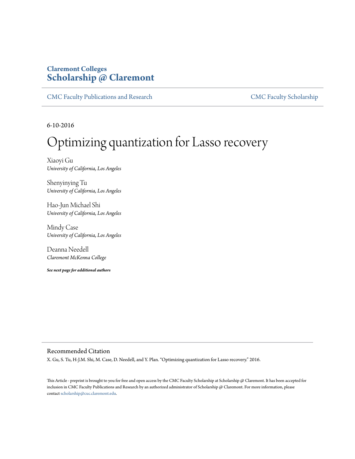# **Claremont Colleges [Scholarship @ Claremont](http://scholarship.claremont.edu)**

[CMC Faculty Publications and Research](http://scholarship.claremont.edu/cmc_fac_pub) [CMC Faculty Scholarship](http://scholarship.claremont.edu/cmc_faculty)

6-10-2016

# Optimizing quantization for Lasso recovery

Xiaoyi Gu *University of California, Los Angeles*

Shenyinying Tu *University of California, Los Angeles*

Hao-Jun Michael Shi *University of California, Los Angeles*

Mindy Case *University of California, Los Angeles*

Deanna Needell *Claremont McKenna College*

*See next page for additional authors*

#### Recommended Citation

X. Gu, S. Tu, H-J.M. Shi, M. Case, D. Needell, and Y. Plan. "Optimizing quantization for Lasso recovery." 2016.

This Article - preprint is brought to you for free and open access by the CMC Faculty Scholarship at Scholarship @ Claremont. It has been accepted for inclusion in CMC Faculty Publications and Research by an authorized administrator of Scholarship @ Claremont. For more information, please contact [scholarship@cuc.claremont.edu](mailto:scholarship@cuc.claremont.edu).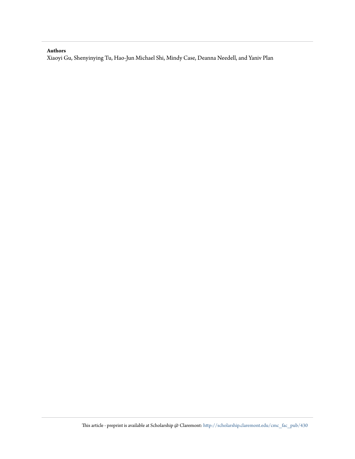#### **Authors**

Xiaoyi Gu, Shenyinying Tu, Hao-Jun Michael Shi, Mindy Case, Deanna Needell, and Yaniv Plan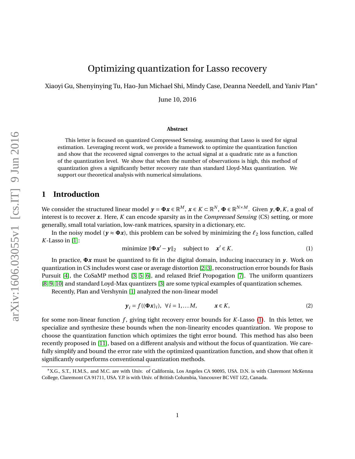Xiaoyi Gu, Shenyinying Tu, Hao-Jun Michael Shi, Mindy Case, Deanna Needell, and Yaniv Plan<sup>∗</sup>

June 10, 2016

#### **Abstract**

This letter is focused on quantized Compressed Sensing, assuming that Lasso is used for signal estimation. Leveraging recent work, we provide a framework to optimize the quantization function and show that the recovered signal converges to the actual signal at a quadratic rate as a function of the quantization level. We show that when the number of observations is high, this method of quantization gives a significantly better recovery rate than standard Lloyd-Max quantization. We support our theoretical analysis with numerical simulations.

## **1 Introduction**

We consider the structured linear model  $y = \Phi x \in \mathbb{R}^M$ ,  $x \in K \subset \mathbb{R}^N$ ,  $\Phi \in \mathbb{R}^{N \times M}$ . Given  $y, \Phi, K$ , a goal of interest is to recover *x*. Here, *K* can encode sparsity as in the *Compressed Sensing* (CS) setting, or more generally, small total variation, low-rank matrices, sparsity in a dictionary, etc.

<span id="page-2-0"></span>In the noisy model ( $y \approx \Phi x$ ), this problem can be solved by minimizing the  $\ell_2$  loss function, called *K*-Lasso in [\[1\]](#page-8-0):

minimize 
$$
\|\Phi x' - y\|_2
$$
 subject to  $x' \in K$ . (1)

In practice, **Φ***x* must be quantized to fit in the digital domain, inducing inaccuracy in *y*. Work on quantization in CS includes worst case or average distortion [\[2,](#page-8-1) [3\]](#page-8-2), reconstruction error bounds for Basis Pursuit [\[4\]](#page-8-3), the CoSaMP method [\[3,](#page-8-2) [5,](#page-9-0) [6\]](#page-9-1), and relaxed Brief Propogation [\[7\]](#page-9-2). The uniform quantizers [\[8,](#page-9-3) [9,](#page-9-4) [10\]](#page-9-5) and standard Loyd-Max quantizers [\[3\]](#page-8-2) are some typical examples of quantization schemes.

Recently, Plan and Vershynin [\[1\]](#page-8-0) analyzed the non-linear model

<span id="page-2-1"></span>
$$
\mathbf{y}_i = f((\mathbf{\Phi}\mathbf{x})_i), \ \forall i = 1, \dots M, \qquad \mathbf{x} \in K,
$$
 (2)

for some non-linear function *f* , giving tight recovery error bounds for *K*-Lasso [\(1\)](#page-2-0). In this letter, we specialize and synthesize these bounds when the non-linearity encodes quantization. We propose to choose the quantization function which optimizes the tight error bound. This method has also been recently proposed in [\[11\]](#page-9-6), based on a different analysis and without the focus of quantization. We carefully simplify and bound the error rate with the optimized quantization function, and show that often it significantly outperforms conventional quantization methods.

<sup>∗</sup>X.G., S.T., H.M.S., and M.C. are with Univ. of California, Los Angeles CA 90095, USA. D.N. is with Claremont McKenna College, Claremont CA 91711, USA. Y.P. is with Univ. of British Columbia, Vancouver BC V6T 1Z2, Canada.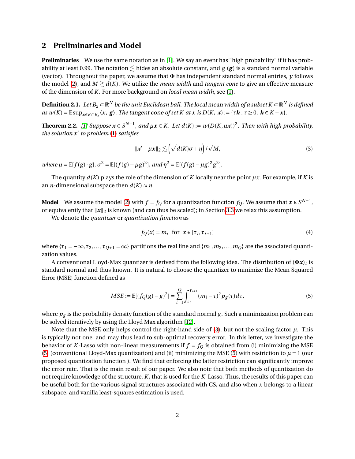## **2 Preliminaries and Model**

**Preliminaries** We use the same notation as in [\[1\]](#page-8-0). We say an event has "high probability" if it has probability at least 0.99. The notation  $\leq$  hides an absolute constant, and *g* (*g*) is a standard normal variable (vector). Throughout the paper, we assume that **Φ** has independent standard normal entries, *y* follows the model [\(2\)](#page-2-1), and  $M \gtrsim d(K)$ . We utilize the *mean width* and *tangent cone* to give an effective measure of the dimension of *K*. For more background on *local mean width*, see [\[1\]](#page-8-0).

 $\bf{Definition 2.1.}$   $\ Let$   $B_2$   $\subset$   $\mathbb{R}^N$  *be the unit Euclidean ball. The local mean width of a subset K*  $\subset$  $\mathbb{R}^N$  *is defined* as  $w(K) = \mathbb{E} \sup_{x \in K \cap B_2} \langle x, g \rangle$ . The tangent cone of set K at x is  $D(K, x) := \{ \tau \mathbf{h} : \tau \geq 0, \mathbf{h} \in K - x \}.$ 

<span id="page-3-3"></span>**Theorem 2.2.** [\[1\]](#page-8-0) Suppose  $x \in S^{N-1}$ , and  $\mu x \in K$ . Let  $d(K) := w(D(K, \mu x))^2$ . Then with high probability, *the solution x* 0 *to problem* [\(1\)](#page-2-0) *satisfies*

<span id="page-3-0"></span>
$$
\|\mathbf{x}' - \mu \mathbf{x}\|_2 \lesssim \left(\sqrt{d(K)}\sigma + \eta\right) / \sqrt{M},\tag{3}
$$

 $where \mu = \mathbb{E}[f(g) \cdot g], \sigma^2 = \mathbb{E}[(f(g) - \mu g)^2], and \eta^2 = \mathbb{E}[(f(g) - \mu g)^2 g^2].$ 

The quantity  $d(K)$  plays the role of the dimension of *K* locally near the point  $\mu x$ . For example, if *K* is an *n*-dimensional subspace then  $d(K) \approx n$ .

**Model** We assume the model [\(2\)](#page-2-1) with  $f = f_Q$  for a quantization function  $f_Q$ . We assume that  $\bm{x} \in S^{N-1}$ , or equivalently that  $\|\boldsymbol{x}\|_2$  is known (and can thus be scaled); in Section [3.3](#page-6-0) we relax this assumption.

We denote the *quantizer* or *quantization function* as

<span id="page-3-2"></span>
$$
f_Q(x) = m_i \text{ for } x \in [\tau_i, \tau_{i+1}]
$$
 (4)

where  $\{\tau_1 = -\infty, \tau_2, \ldots, \tau_{Q+1} = \infty\}$  partitions the real line and  $\{m_1, m_2, \ldots, m_Q\}$  are the associated quantization values.

A conventional Lloyd-Max quantizer is derived from the following idea. The distribution of (**Φ***x*)*<sup>i</sup>* is standard normal and thus known. It is natural to choose the quantizer to minimize the Mean Squared Error (MSE) function defined as

<span id="page-3-1"></span>
$$
MSE := \mathbb{E}[(f_Q(g) - g)^2] = \sum_{i=1}^{Q} \int_{\tau_i}^{\tau_{i+1}} (m_i - \tau)^2 p_g(\tau) d\tau,
$$
\n(5)

where  $p_g$  is the probability density function of the standard normal  $g$ . Such a minimization problem can be solved iteratively by using the Lloyd Max algorithm [\[12\]](#page-9-7).

Note that the MSE only helps control the right-hand side of  $(3)$ , but not the scaling factor  $\mu$ . This is typically not one, and may thus lead to sub-optimal recovery error. In this letter, we investigate the behavior of *K*-Lasso with non-linear measurements if  $f = f_0$  is obtained from (i) minimizing the MSE [\(5\)](#page-3-1) (conventional Lloyd-Max quantization) and (ii) minimizing the MSE (5) with restriction to  $\mu = 1$  (our proposed quantization function ). We find that enforcing the latter restriction can significantly improve the error rate. That is the main result of our paper. We also note that both methods of quantization do not require knowledge of the structure, *K*, that is used for the *K*-Lasso. Thus, the results of this paper can be useful both for the various signal structures associated with CS, and also when *x* belongs to a linear subspace, and vanilla least-squares estimation is used.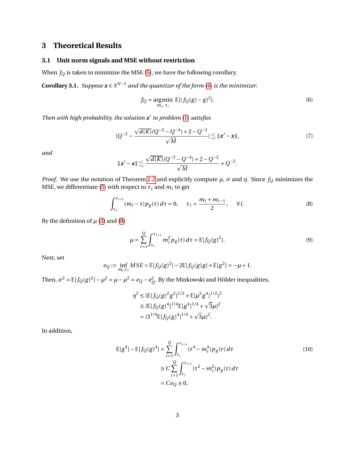# **3 Theoretical Results**

#### <span id="page-4-1"></span>**3.1 Unit norm signals and MSE without restriction**

When  $f_Q$  is taken to minimize the MSE [\(5\)](#page-3-1), we have the following corollary.

**Corollary 3.1.** *Suppose*  $\mathbf{x} \in S^{N-1}$  *and the quantizer of the form* [\(4\)](#page-3-2) *is the minimizer:* 

<span id="page-4-2"></span>
$$
f_Q = \underset{m_i, \tau_i}{\text{argmin}} \ \mathbb{E}[(f_Q(g) - g)^2]. \tag{6}
$$

*Then with high probability, the solution x* 0 *to problem* [\(1\)](#page-2-0) *satisfies*

$$
|Q^{-2} - \frac{\sqrt{d(K)}(Q^{-2} - Q^{-4}) + 2 - Q^{-2}}{\sqrt{M}}| \lesssim ||x' - x||,
$$
\n(7)

*and*

<span id="page-4-0"></span>
$$
\|\mathbf{x}' - \mathbf{x}\| \lesssim \frac{\sqrt{d(K)}(Q^{-2} - Q^{-4}) + 2 - Q^{-2}}{\sqrt{M}} + Q^{-2}.
$$

*Proof.* We use the notation of Theorem [2.2](#page-3-3) and explicitly compute  $\mu$ ,  $\sigma$  and  $\eta$ . Since  $f_Q$  minimizes the MSE, we differentiate [\(5\)](#page-3-1) with respect to  $\tau_i$  and  $m_i$  to get

$$
\int_{\tau_i}^{\tau_{i+1}} (m_i - \tau) p_g(\tau) d\tau = 0, \quad \tau_i = \frac{m_i + m_{i-1}}{2}, \quad \forall i.
$$
 (8)

By the definition of  $\mu$  [\(3\)](#page-3-0) and [\(8\)](#page-4-0)

$$
\mu = \sum_{i=1}^{Q} \int_{\tau_i}^{\tau_{i+1}} m_i^2 p_g(\tau) d\tau = \mathbb{E}[f_Q(g)^2].
$$
\n(9)

Next, set

$$
e_Q := \inf_{m_i, \tau_i} MSE = \mathbb{E}[f_Q(g)^2] - 2\mathbb{E}[f_Q(g)g] + \mathbb{E}[g^2] = -\mu + 1.
$$

Then,  $\sigma^2 = \mathbb{E}[f_Q(g)^2] - \mu^2 = \mu - \mu^2 = e_Q - e_Q^2$ . By the Minkowski and Hölder inequalities,

$$
\eta^2 \leq (\mathbb{E}[f_Q(g)^2 g^2]^{1/2} + \mathbb{E}[\mu^2 g^4]^{1/2})^2
$$
  
\n
$$
\leq (\mathbb{E}[f_Q(g)^4]^{1/4} \mathbb{E}[g^4]^{1/4} + \sqrt{3}\mu)^2
$$
  
\n
$$
= (3^{1/4} \mathbb{E}[f_Q(g)^4]^{1/4} + \sqrt{3}\mu)^2.
$$

In addition,

$$
\mathbb{E}[g^{4}] - \mathbb{E}[f_{Q}(g)^{4}] = \sum_{i=1}^{Q} \int_{\tau_{i}}^{\tau_{i+1}} (\tau^{4} - m_{i}^{4}) p_{g}(\tau) d\tau
$$
\n
$$
\geq C \sum_{i=1}^{Q} \int_{\tau_{i}}^{\tau_{i+1}} (\tau^{2} - m_{i}^{2}) p_{g}(\tau) d\tau
$$
\n
$$
= C e_{Q} \geq 0,
$$
\n(10)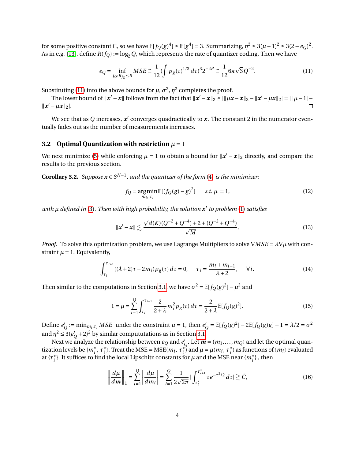for some positive constant C, so we have  $\mathbb{E}[f_Q(g)^4] \leq \mathbb{E}[g^4] = 3$ . Summarizing,  $\eta^2 \leq 3(\mu+1)^2 \leq 3(2-e_Q)^2$ . As in e.g. [\[13\]](#page-9-8), define  $R(f_Q) := \log_2 Q$ , which represents the rate of quantizer coding. Then we have

<span id="page-5-0"></span>
$$
e_Q = \inf_{f_Q: R_{f_Q} \le R} MSE \cong \frac{1}{12} (\int p_g(\tau)^{1/3} d\tau)^3 2^{-2R} \cong \frac{1}{12} 6\pi \sqrt{3} Q^{-2}.
$$
 (11)

Substituting [\(11\)](#page-5-0) into the above bounds for  $\mu$ ,  $\sigma^2$ ,  $\eta^2$  completes the proof.

The lower bound of  $||x' - x||$  follows from the fact that  $||x' - x||_2 \ge ||\mu x - x||_2 - ||x' - \mu x||_2| = ||\mu - 1| ||x' - \mu x||_2$ .  $\Box$ 

We see that as  $Q$  increases,  $x^\prime$  converges quadractically to  $x.$  The constant 2 in the numerator eventually fades out as the number of measurements increases.

#### **3.2** Optimal Quantization with restriction  $\mu = 1$

We next minimize [\(5\)](#page-3-1) while enforcing  $\mu = 1$  to obtain a bound for  $\|\mathbf{x}' - \mathbf{x}\|_2$  directly, and compare the results to the previous section.

**Corollary 3.2.** *Suppose*  $x \in S^{N-1}$ , and the quantizer of the form [\(4\)](#page-3-2) is the minimizer:

<span id="page-5-1"></span>
$$
f_Q = \underset{m_i, \tau_i}{\text{argmin}} \mathbb{E}[(f_Q(g) - g)^2] \qquad s.t. \ \mu = 1,
$$
 (12)

*with µ defined in* [\(3\)](#page-3-0)*. Then with high probability, the solution x* 0 *to problem* [\(1\)](#page-2-0) *satisfies*

$$
\|\mathbf{x}' - \mathbf{x}\| \lesssim \frac{\sqrt{d(K)}(Q^{-2} + Q^{-4}) + 2 + (Q^{-2} + Q^{-4})}{\sqrt{M}}.
$$
\n(13)

*Proof.* To solve this optimization problem, we use Lagrange Multipliers to solve  $\nabla MSE = \lambda \nabla \mu$  with constraint  $\mu = 1$ . Equivalently,

$$
\int_{\tau_i}^{\tau_{i+1}} ((\lambda + 2)\tau - 2m_i) p_g(\tau) d\tau = 0, \quad \tau_i = \frac{m_i + m_{i-1}}{\lambda + 2}, \quad \forall i.
$$
 (14)

Then similar to the computations in Section [3.1,](#page-4-1) we have  $\sigma^2 = \mathbb{E}[f_Q(g)^2] - \mu^2$  and

$$
1 = \mu = \sum_{i=1}^{Q} \int_{\tau_i}^{\tau_{i+1}} \frac{2}{2+\lambda} m_i^2 p_g(\tau) d\tau = \frac{2}{2+\lambda} \mathbb{E}[f_Q(g)^2].
$$
 (15)

Define *e'*  $Q_i = \min_{m_i, \tau_i} MSE$  under the constraint  $\mu = 1$ , then  $e_i$  $Q'_{Q} = \mathbb{E}[f_{Q}(g)^{2}] - 2\mathbb{E}[f_{Q}(g)g] + 1 = \lambda/2 = \sigma^{2}$ and  $\eta^2 \leq 3(e)$  $Q(2)$  + 2)<sup>2</sup> by similar compututations as in Section [3.1.](#page-4-1)

Next we analyze the relationship between  $e_Q$  and  $e_Q'$  $Q$ . Let  $m = (m_1, \ldots, m_Q)$  and let the optimal quantization levels be  $\{m_i^*, \tau_i^*\}$  $i$ <sup>\*</sup><sub>*i*</sub>. Treat the MSE = MSE( $m_i$ ,  $\tau_i^*$  $\mu$ <sup>i</sup>) and  $\mu = \mu(m_i, \tau_i^*)$  $i$ <sup>\*</sup>) as functions of { $m$ <sub>*i*</sub>} evaluated at {*τ* ∗ <sup>\*</sup><sub>*i*</sub> }. It suffices to find the local Lipschitz constants for *µ* and the MSE near { $m_i^*$ }, then

$$
\left\| \frac{d\mu}{dm} \right\|_1 = \sum_{i=1}^Q \left| \frac{d\mu}{dm_i} \right| = \sum_{i=1}^Q \frac{1}{2\sqrt{2\pi}} \left| \int_{\tau_i^*}^{\tau_{i+1}^*} \tau e^{-\tau^2/2} d\tau \right| \gtrsim \tilde{C}, \tag{16}
$$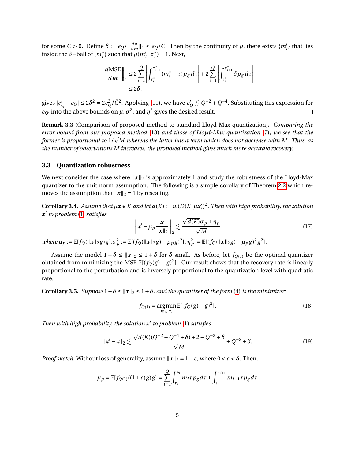for some  $\tilde{C} > 0$ . Define  $\delta := e_Q / \sqrt{\frac{d\mu}{dm}}$  $\frac{d\mu}{dm}\|_1 \leq e_Q/\tilde{C}$ . Then by the continuity of  $\mu$ , there exists  $\{m'_i\}$  that lies inside the  $\delta$ -ball of { $m_i^*$ } such that  $\mu(m_i^{\prime}, \tau_i^*)$  $i^*$ ) = 1. Next,

$$
\left\| \frac{d\text{MSE}}{dm} \right\|_1 \le 2 \sum_{i=1}^Q \left| \int_{\tau_i^*}^{\tau_{i+1}^*} (m_i^* - \tau) p_g \, d\tau \right| + 2 \sum_{i=1}^Q \left| \int_{\tau_i^*}^{\tau_{i+1}^*} \delta p_g \, d\tau \right|
$$
  

$$
\le 2\delta,
$$

gives |*e*<sup>'</sup>  $P'_Q$  −  $e_Q$ | ≤ 2 $\delta^2$  = 2 $e_Q^2$ / $\tilde{C}^2$ . Applying [\(11\)](#page-5-0), we have  $e'_Q \lesssim Q^{-2} + Q^{-4}$ . Substituting this expression for  $e_{Q'}$  into the above bounds on  $\mu$ ,  $\sigma^2$ , and  $\eta^2$  gives the desired result.  $\Box$ 

**Remark 3.3** (Comparison of proposed method to standard Lloyd-Max quantization)**.** *Comparing the error bound from our proposed method* [\(13\)](#page-5-1) *and those of Lloyd-Max quantization* [\(7\)](#page-4-2)*, we see that the* error bouna from our proposea metnoa (13) ana tnose of Lloya-Max quantization (7), we see that the<br>former is proportional to 1/ $\sqrt{M}$  whereas the latter has a term which does not decrease with M. Thus, as *the number of observations M increases, the proposed method gives much more accurate recovery.*

#### <span id="page-6-0"></span>**3.3 Quantization robustness**

We next consider the case where  $\|x\|_2$  is approximately 1 and study the robustness of the Lloyd-Max quantizer to the unit norm assumption. The following is a simple corollary of Theorem [2.2](#page-3-3) which removes the assumption that  $\|\mathbf{x}\|_2 = 1$  by rescaling.

<span id="page-6-1"></span>**Corollary 3.4.** *Assume that µx* ∈ *K and let d*(*K*) := *w*(*D*(*K*,*µx*))<sup>2</sup> *. Then with high probability, the solution x* 0 *to problem* [\(1\)](#page-2-0) *satisfies* p

$$
\left\| \mathbf{x}' - \mu_p \frac{\mathbf{x}}{\|\mathbf{x}\|_2} \right\|_2 \lesssim \frac{\sqrt{d(K)} \sigma_p + \eta_p}{\sqrt{M}}
$$
(17)

where  $\mu_p := \mathbb{E}[f_Q(\|\mathbf{x}\|_2 g)g], \sigma_p^2 := \mathbb{E}[(f_Q(\|\mathbf{x}\|_2 g) - \mu_p g)^2], \eta_p^2 := \mathbb{E}[(f_Q(\|\mathbf{x}\|_2 g) - \mu_p g)^2 g^2].$ 

Assume the model  $1 - \delta \le ||x||_2 \le 1 + \delta$  for  $\delta$  small. As before, let  $f_{Q(1)}$  be the optimal quantizer obtained from minimizing the MSE  $\mathbb{E}[(f_Q(g)-g)^2]$ . Our result shows that the recovery rate is linearly proportional to the perturbation and is inversely proportional to the quantization level with quadratic rate.

**Corollary 3.5.** *Suppose*  $1 - \delta \le ||x||_2 \le 1 + \delta$ *, and the quantizer of the form* [\(4\)](#page-3-2) *is the minimizer:* 

$$
f_{Q(1)} = \underset{m_i, \tau_i}{\text{argmin}} \mathbb{E}[(f_Q(g) - g)^2].
$$
 (18)

*Then with high probability, the solution x* 0 *to problem* [\(1\)](#page-2-0) *satisfies*

$$
\|\mathbf{x}' - \mathbf{x}\|_2 \lesssim \frac{\sqrt{d(K)}(Q^{-2} + Q^{-4} + \delta) + 2 - Q^{-2} + \delta}{\sqrt{M}} + Q^{-2} + \delta. \tag{19}
$$

*Proof sketch.* Without loss of generality, assume  $||x||_2 = 1 + \varepsilon$ , where  $0 < \varepsilon < \delta$ . Then,

$$
\mu_p = \mathbb{E}[f_{Q(1)}((1+\varepsilon)g)g] = \sum_{i=1}^Q \int_{\tau_i}^{s_i} m_i \tau p_g d\tau + \int_{s_i}^{\tau_{i+1}} m_{i+1} \tau p_g d\tau
$$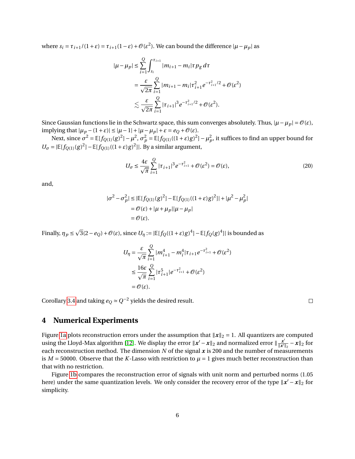where  $s_i = \tau_{i+1}/(1+\varepsilon) = \tau_{i+1}(1-\varepsilon) + \mathcal{O}(\varepsilon^2)$ . We can bound the difference  $|\mu - \mu_p|$  as

$$
|\mu - \mu_p| \leq \sum_{i=1}^{Q} \int_{s_i}^{\tau_{i+1}} |m_{i+1} - m_i| \tau p_g d\tau
$$
  
= 
$$
\frac{\varepsilon}{\sqrt{2\pi}} \sum_{i=1}^{Q} |m_{i+1} - m_i| \tau_{i+1}^2 e^{-\tau_{i+1}^2/2} + \mathcal{O}(\varepsilon^2)
$$
  

$$
\lesssim \frac{\varepsilon}{\sqrt{2\pi}} \sum_{i=1}^{Q} |\tau_{i+1}|^3 e^{-\tau_{i+1}^2/2} + \mathcal{O}(\varepsilon^2).
$$

Since Gaussian functions lie in the Schwartz space, this sum converges absolutely. Thus,  $|\mu - \mu_p| = \mathcal{O}(\varepsilon)$ ,  $\text{implying that } |\mu_p - (1+\varepsilon)| \leq |\mu - 1| + |\mu - \mu_p| + \varepsilon = e_Q + \mathcal{O}(\varepsilon).$ 

Next, since  $\sigma^2 = \mathbb{E}[f_{Q(1)}(g)^2] - \mu^2$ ,  $\sigma_p^2 = \mathbb{E}[f_{Q(1)}((1+\varepsilon)g)^2] - \mu_p^2$ , it suffices to find an upper bound for  $U_{\sigma} = |\mathbb{E}[f_{Q(1)}(g)^2] - \mathbb{E}[f_{Q(1)}((1+\varepsilon)g)^2]|$ . By a similar argument,

$$
U_{\sigma} \le \frac{4\varepsilon}{\sqrt{\pi}} \sum_{i=1}^{Q} |\tau_{i+1}|^3 e^{-\tau_{i+1}^2} + \mathcal{O}(\varepsilon^2) = \mathcal{O}(\varepsilon), \tag{20}
$$

and,

$$
|\sigma^2 - \sigma_p^2| \le |\mathbb{E}[f_{Q(1)}(g)^2] - \mathbb{E}[f_{Q(1)}((1+\varepsilon)g)^2]| + |\mu^2 - \mu_p^2|
$$
  
=  $\mathcal{O}(\varepsilon) + |\mu + \mu_p||\mu - \mu_p|$   
=  $\mathcal{O}(\varepsilon)$ .

Finally,  $\eta_p \leq$  $3(2-e_Q)+\mathcal{O}(\varepsilon)$ , since  $U_\eta:=|\mathbb{E}[f_Q((1+\varepsilon)g)^4]-\mathbb{E}[f_Q(g)^4]|$  is bounded as

$$
U_{\eta} = \frac{\varepsilon}{\sqrt{\pi}} \sum_{i=1}^{Q} |m_{i+1}^4 - m_i^4| \tau_{i+1} e^{-\tau_{i+1}^2} + \mathcal{O}(\varepsilon^2)
$$
  

$$
\leq \frac{16\varepsilon}{\sqrt{\pi}} \sum_{i=1}^{Q} |\tau_{i+1}^5| e^{-\tau_{i+1}^2} + \mathcal{O}(\varepsilon^2)
$$
  

$$
= \mathcal{O}(\varepsilon).
$$

Corollary [3.4](#page-6-1) and taking  $e_Q \simeq Q^{-2}$  yields the desired result.

 $\Box$ 

#### **4 Numerical Experiments**

Figure [1a](#page-8-4) plots reconstruction errors under the assumption that  $||x||_2 = 1$ . All quantizers are computed using the Lloyd-Max algorithm [\[12\]](#page-9-7). We display the error  $\|x' - x\|_2$  and normalized error  $\|\frac{x'}{\|x'\|_2}$  $\frac{x'}{\|x'\|_2} - x\|_2$  for each reconstruction method. The dimension  $N$  of the signal  $x$  is 200 and the number of measurements is  $M = 50000$ . Observe that the *K*-Lasso with restriction to  $\mu = 1$  gives much better reconstruction than that with no restriction.

Figure [1b](#page-8-5) compares the reconstruction error of signals with unit norm and perturbed norms (1.05 here) under the same quantization levels. We only consider the recovery error of the type  $\|x' - x\|_2$  for simplicity.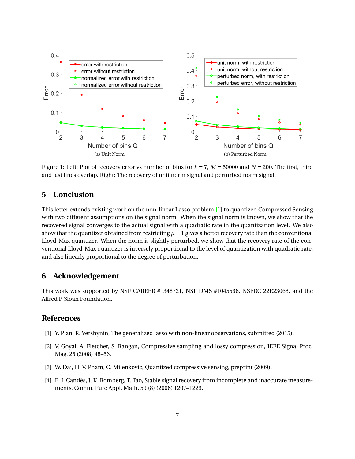<span id="page-8-4"></span>

<span id="page-8-5"></span>Figure 1: Left: Plot of recovery error vs number of bins for *k* = 7, *M* = 50000 and *N* = 200. The first, third and last lines overlap. Right: The recovery of unit norm signal and perturbed norm signal.

## **5 Conclusion**

This letter extends existing work on the non-linear Lasso problem [\[1\]](#page-8-0) to quantized Compressed Sensing with two different assumptions on the signal norm. When the signal norm is known, we show that the recovered signal converges to the actual signal with a quadratic rate in the quantization level. We also show that the quantizer obtained from restricting  $\mu = 1$  gives a better recovery rate than the conventional Lloyd-Max quantizer. When the norm is slightly perturbed, we show that the recovery rate of the conventional Lloyd-Max quantizer is inversely proportional to the level of quantization with quadratic rate, and also linearly proportional to the degree of perturbation.

## **6 Acknowledgement**

This work was supported by NSF CAREER #1348721, NSF DMS #1045536, NSERC 22R23068, and the Alfred P. Sloan Foundation.

## **References**

- <span id="page-8-0"></span>[1] Y. Plan, R. Vershynin, The generalized lasso with non-linear observations, submitted (2015).
- <span id="page-8-1"></span>[2] V. Goyal, A. Fletcher, S. Rangan, Compressive sampling and lossy compression, IEEE Signal Proc. Mag. 25 (2008) 48–56.
- <span id="page-8-2"></span>[3] W. Dai, H. V. Pham, O. Milenkovic, Quantized compressive sensing, preprint (2009).
- <span id="page-8-3"></span>[4] E. J. Candès, J. K. Romberg, T. Tao, Stable signal recovery from incomplete and inaccurate measurements, Comm. Pure Appl. Math. 59 (8) (2006) 1207–1223.